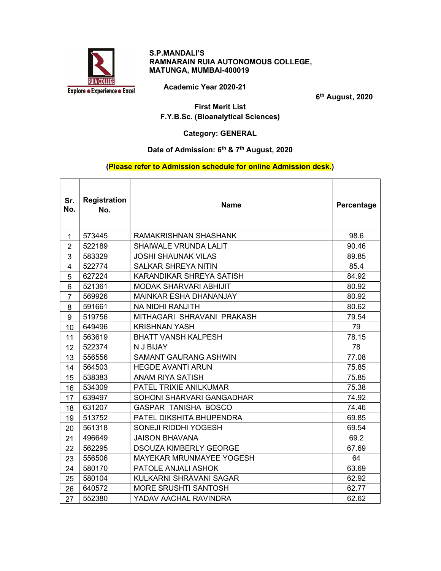

#### S.P.MANDALI'S RAMNARAIN RUIA AUTONOMOUS COLLEGE, MATUNGA, MUMBAI-400019

Academic Year 2020-21

6<sup>th</sup> August, 2020

٦

First Merit List F.Y.B.Sc. (Bioanalytical Sciences)

Category: GENERAL

# Date of Admission: 6<sup>th</sup> & 7<sup>th</sup> August, 2020

## (Please refer to Admission schedule for online Admission desk.)

| Sr.<br>No.     | <b>Registration</b><br>No. | <b>Name</b>                     | Percentage |
|----------------|----------------------------|---------------------------------|------------|
| 1              | 573445                     | RAMAKRISHNAN SHASHANK           | 98.6       |
| $\overline{2}$ | 522189                     | SHAIWALE VRUNDA LALIT           | 90.46      |
| 3              | 583329                     | <b>JOSHI SHAUNAK VILAS</b>      | 89.85      |
| 4              | 522774                     | <b>SALKAR SHREYA NITIN</b>      | 85.4       |
| 5              | 627224                     | KARANDIKAR SHREYA SATISH        | 84.92      |
| 6              | 521361                     | <b>MODAK SHARVARI ABHIJIT</b>   | 80.92      |
| $\overline{7}$ | 569926                     | <b>MAINKAR ESHA DHANANJAY</b>   | 80.92      |
| 8              | 591661                     | <b>NA NIDHI RANJITH</b>         | 80.62      |
| 9              | 519756                     | MITHAGARI SHRAVANI PRAKASH      | 79.54      |
| 10             | 649496                     | <b>KRISHNAN YASH</b>            | 79         |
| 11             | 563619                     | <b>BHATT VANSH KALPESH</b>      | 78.15      |
| 12             | 522374                     | N J BIJAY                       | 78         |
| 13             | 556556                     | <b>SAMANT GAURANG ASHWIN</b>    | 77.08      |
| 14             | 564503                     | <b>HEGDE AVANTI ARUN</b>        | 75.85      |
| 15             | 538383                     | <b>ANAM RIYA SATISH</b>         | 75.85      |
| 16             | 534309                     | <b>PATEL TRIXIE ANILKUMAR</b>   | 75.38      |
| 17             | 639497                     | SOHONI SHARVARI GANGADHAR       | 74.92      |
| 18             | 631207                     | <b>GASPAR TANISHA BOSCO</b>     | 74.46      |
| 19             | 513752                     | PATEL DIKSHITA BHUPENDRA        | 69.85      |
| 20             | 561318                     | <b>SONEJI RIDDHI YOGESH</b>     | 69.54      |
| 21             | 496649                     | <b>JAISON BHAVANA</b>           | 69.2       |
| 22             | 562295                     | <b>DSOUZA KIMBERLY GEORGE</b>   | 67.69      |
| 23             | 556506                     | <b>MAYEKAR MRUNMAYEE YOGESH</b> | 64         |
| 24             | 580170                     | PATOLE ANJALI ASHOK             | 63.69      |
| 25             | 580104                     | KULKARNI SHRAVANI SAGAR         | 62.92      |
| 26             | 640572                     | <b>MORE SRUSHTI SANTOSH</b>     | 62.77      |
| 27             | 552380                     | YADAV AACHAL RAVINDRA           | 62.62      |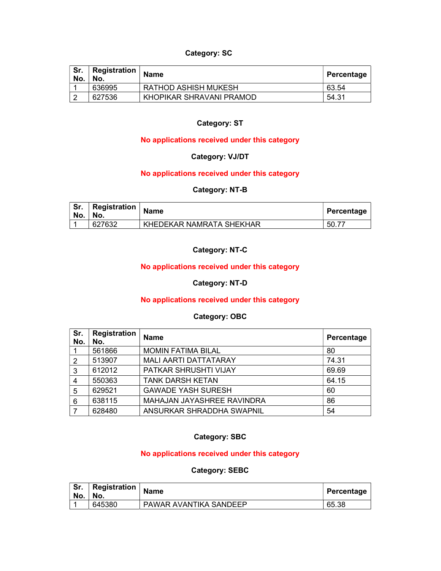## Category: SC

| No. | Registration<br>No. | <b>Name</b>                 | Percentage |
|-----|---------------------|-----------------------------|------------|
|     | 636995              | <b>RATHOD ASHISH MUKESH</b> | 63.54      |
|     | 627536              | KHOPIKAR SHRAVANI PRAMOD    | 54.31      |

## Category: ST

## No applications received under this category

# Category: VJ/DT

#### No applications received under this category

#### Category: NT-B

| Sr.<br>No. | Registration<br>No. | <b>Name</b>              | Percentage |
|------------|---------------------|--------------------------|------------|
|            | 627632              | KHEDEKAR NAMRATA SHEKHAR | $-50.7$    |

#### Category: NT-C

## No applications received under this category

## Category: NT-D

#### No applications received under this category

#### Category: OBC

| Sr.<br>No. | Registration<br>No. | <b>Name</b>                  | Percentage |
|------------|---------------------|------------------------------|------------|
|            | 561866              | <b>MOMIN FATIMA BILAL</b>    | 80         |
| 2          | 513907              | <b>MALI AARTI DATTATARAY</b> | 74.31      |
| 3          | 612012              | PATKAR SHRUSHTI VIJAY        | 69.69      |
|            | 550363              | <b>TANK DARSH KETAN</b>      | 64.15      |
| 5          | 629521              | <b>GAWADE YASH SURESH</b>    | 60         |
| 6          | 638115              | MAHAJAN JAYASHREE RAVINDRA   | 86         |
|            | 628480              | ANSURKAR SHRADDHA SWAPNIL    | 54         |

#### Category: SBC

## No applications received under this category

#### Category: SEBC

| Sr.<br>No. | $\perp$ Registration $\perp$<br>้ No. | <b>Name</b>            | ,Percentage |
|------------|---------------------------------------|------------------------|-------------|
|            | 645380                                | PAWAR AVANTIKA SANDEEP | 65.38       |